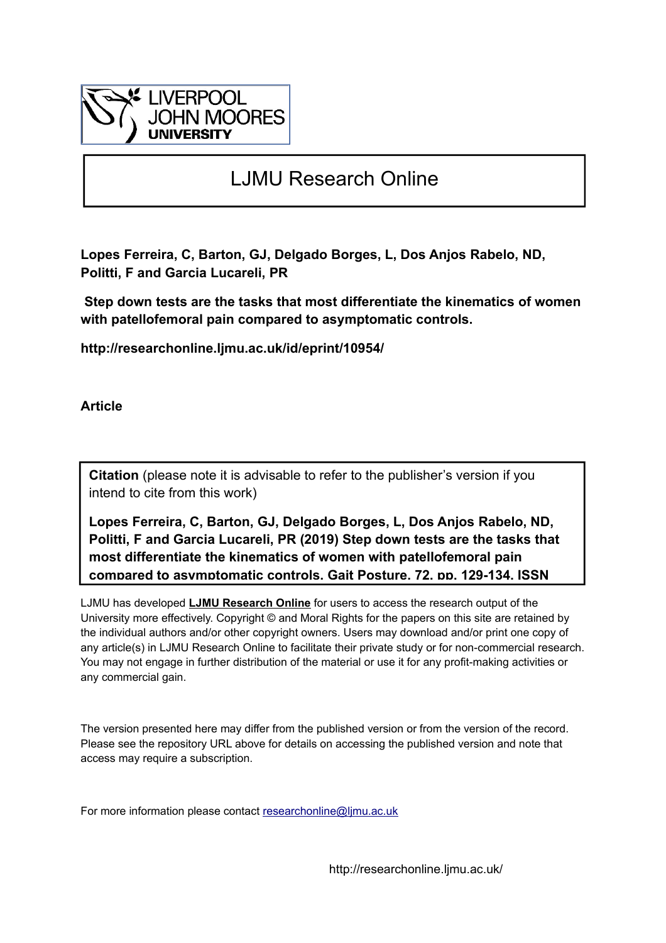

# LJMU Research Online

**Lopes Ferreira, C, Barton, GJ, Delgado Borges, L, Dos Anjos Rabelo, ND, Politti, F and Garcia Lucareli, PR**

 **Step down tests are the tasks that most differentiate the kinematics of women with patellofemoral pain compared to asymptomatic controls.**

**http://researchonline.ljmu.ac.uk/id/eprint/10954/**

**Article**

**Citation** (please note it is advisable to refer to the publisher's version if you intend to cite from this work)

**Lopes Ferreira, C, Barton, GJ, Delgado Borges, L, Dos Anjos Rabelo, ND, Politti, F and Garcia Lucareli, PR (2019) Step down tests are the tasks that most differentiate the kinematics of women with patellofemoral pain compared to asymptomatic controls. Gait Posture, 72. pp. 129-134. ISSN** 

LJMU has developed **[LJMU Research Online](http://researchonline.ljmu.ac.uk/)** for users to access the research output of the University more effectively. Copyright © and Moral Rights for the papers on this site are retained by the individual authors and/or other copyright owners. Users may download and/or print one copy of any article(s) in LJMU Research Online to facilitate their private study or for non-commercial research. You may not engage in further distribution of the material or use it for any profit-making activities or any commercial gain.

The version presented here may differ from the published version or from the version of the record. Please see the repository URL above for details on accessing the published version and note that access may require a subscription.

For more information please contact researchonline@limu.ac.uk

http://researchonline.ljmu.ac.uk/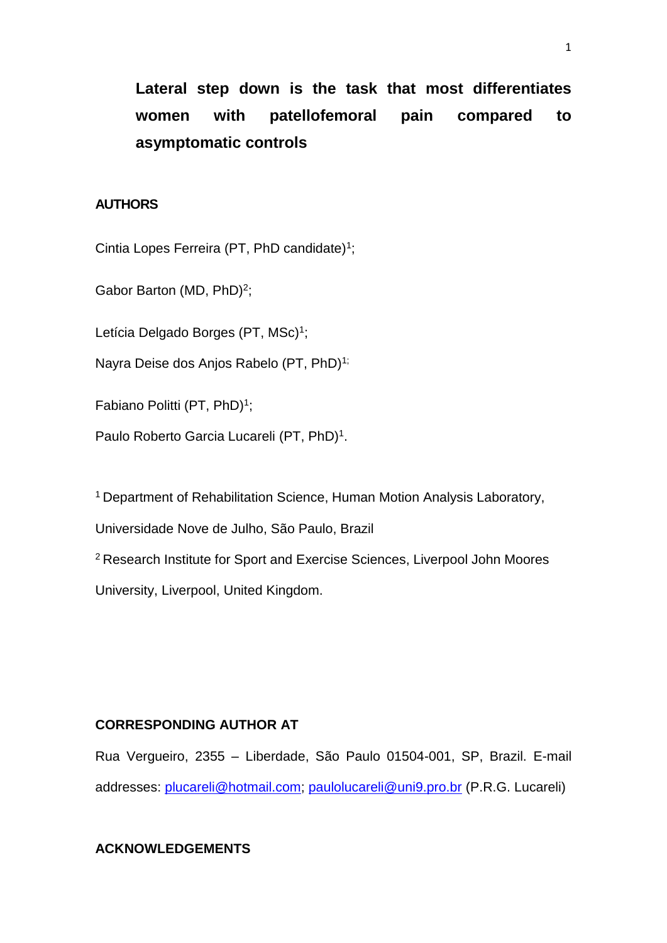**Lateral step down is the task that most differentiates women with patellofemoral pain compared to asymptomatic controls**

# **AUTHORS**

Cintia Lopes Ferreira (PT, PhD candidate)<sup>1</sup>;

Gabor Barton (MD,  $PhD$ )<sup>2</sup>;

Letícia Delgado Borges (PT, MSc)<sup>1</sup>;

Nayra Deise dos Anios Rabelo (PT, PhD)<sup>1;</sup>

Fabiano Politti (PT, PhD)<sup>1</sup>;

Paulo Roberto Garcia Lucareli (PT, PhD)<sup>1</sup>.

<sup>1</sup> Department of Rehabilitation Science, Human Motion Analysis Laboratory,

Universidade Nove de Julho, São Paulo, Brazil

<sup>2</sup>Research Institute for Sport and Exercise Sciences, Liverpool John Moores University, Liverpool, United Kingdom.

## **CORRESPONDING AUTHOR AT**

Rua Vergueiro, 2355 – Liberdade, São Paulo 01504-001, SP, Brazil. E-mail addresses: [plucareli@hotmail.com;](mailto:plucareli@hotmail.com) [paulolucareli@uni9.pro.br](mailto:paulolucareli@uni9.pro.br) (P.R.G. Lucareli)

# **ACKNOWLEDGEMENTS**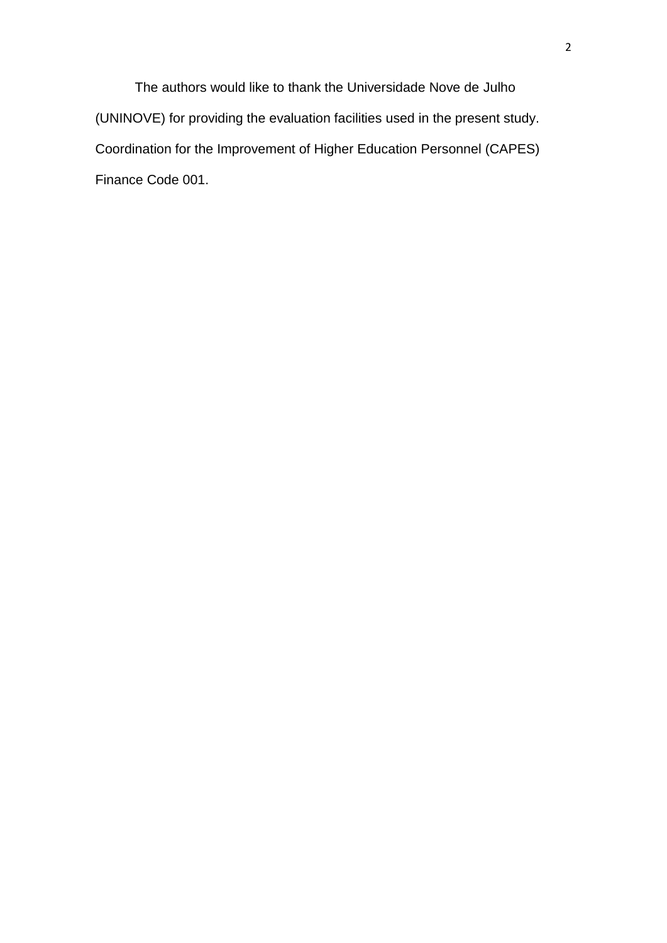The authors would like to thank the Universidade Nove de Julho (UNINOVE) for providing the evaluation facilities used in the present study. Coordination for the Improvement of Higher Education Personnel (CAPES) Finance Code 001.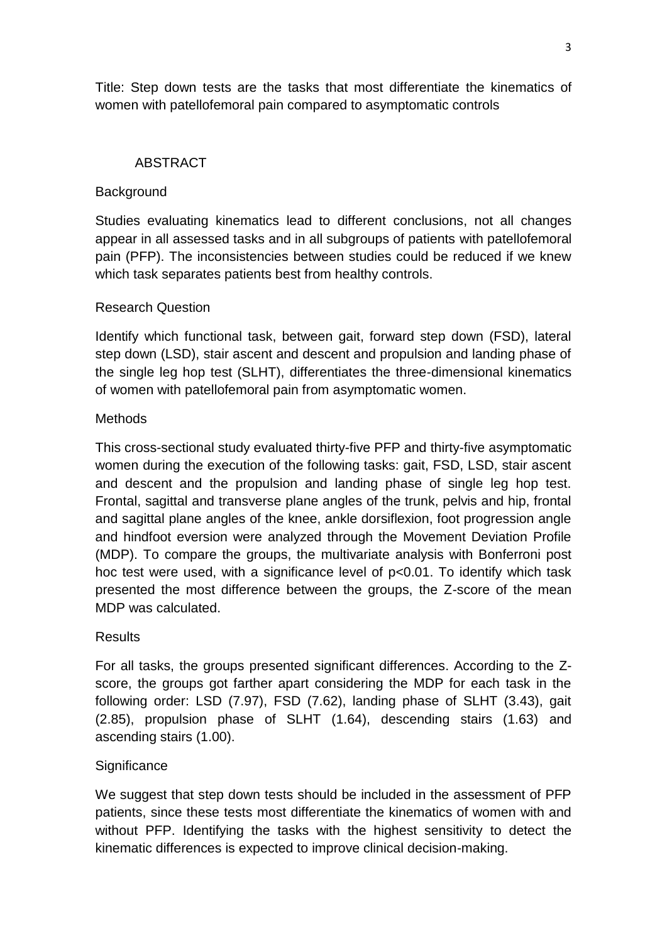Title: Step down tests are the tasks that most differentiate the kinematics of women with patellofemoral pain compared to asymptomatic controls

# ABSTRACT

# **Background**

Studies evaluating kinematics lead to different conclusions, not all changes appear in all assessed tasks and in all subgroups of patients with patellofemoral pain (PFP). The inconsistencies between studies could be reduced if we knew which task separates patients best from healthy controls.

# Research Question

Identify which functional task, between gait, forward step down (FSD), lateral step down (LSD), stair ascent and descent and propulsion and landing phase of the single leg hop test (SLHT), differentiates the three-dimensional kinematics of women with patellofemoral pain from asymptomatic women.

# Methods

This cross-sectional study evaluated thirty-five PFP and thirty-five asymptomatic women during the execution of the following tasks: gait, FSD, LSD, stair ascent and descent and the propulsion and landing phase of single leg hop test. Frontal, sagittal and transverse plane angles of the trunk, pelvis and hip, frontal and sagittal plane angles of the knee, ankle dorsiflexion, foot progression angle and hindfoot eversion were analyzed through the Movement Deviation Profile (MDP). To compare the groups, the multivariate analysis with Bonferroni post hoc test were used, with a significance level of p<0.01. To identify which task presented the most difference between the groups, the Z-score of the mean MDP was calculated.

# **Results**

For all tasks, the groups presented significant differences. According to the Zscore, the groups got farther apart considering the MDP for each task in the following order: LSD (7.97), FSD (7.62), landing phase of SLHT (3.43), gait (2.85), propulsion phase of SLHT (1.64), descending stairs (1.63) and ascending stairs (1.00).

# **Significance**

We suggest that step down tests should be included in the assessment of PFP patients, since these tests most differentiate the kinematics of women with and without PFP. Identifying the tasks with the highest sensitivity to detect the kinematic differences is expected to improve clinical decision-making.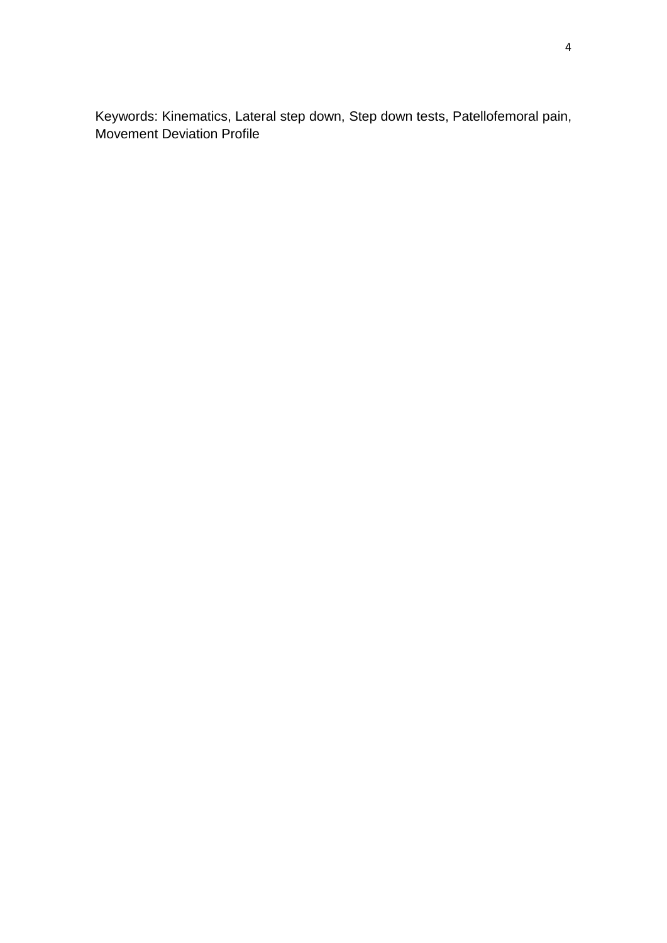Keywords: Kinematics, Lateral step down, Step down tests, Patellofemoral pain, Movement Deviation Profile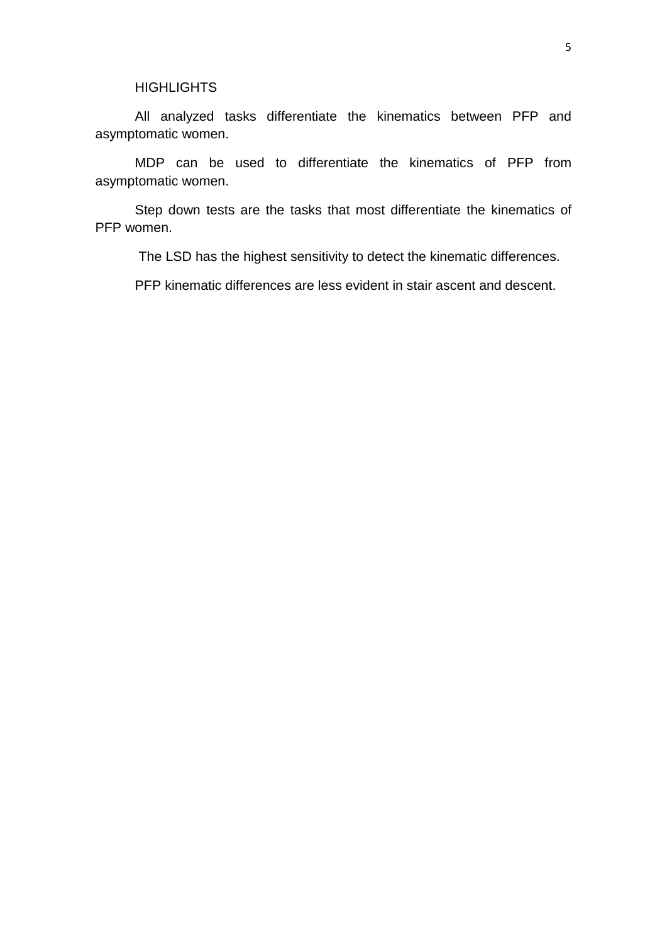### **HIGHLIGHTS**

All analyzed tasks differentiate the kinematics between PFP and asymptomatic women.

MDP can be used to differentiate the kinematics of PFP from asymptomatic women.

Step down tests are the tasks that most differentiate the kinematics of PFP women.

The LSD has the highest sensitivity to detect the kinematic differences.

PFP kinematic differences are less evident in stair ascent and descent.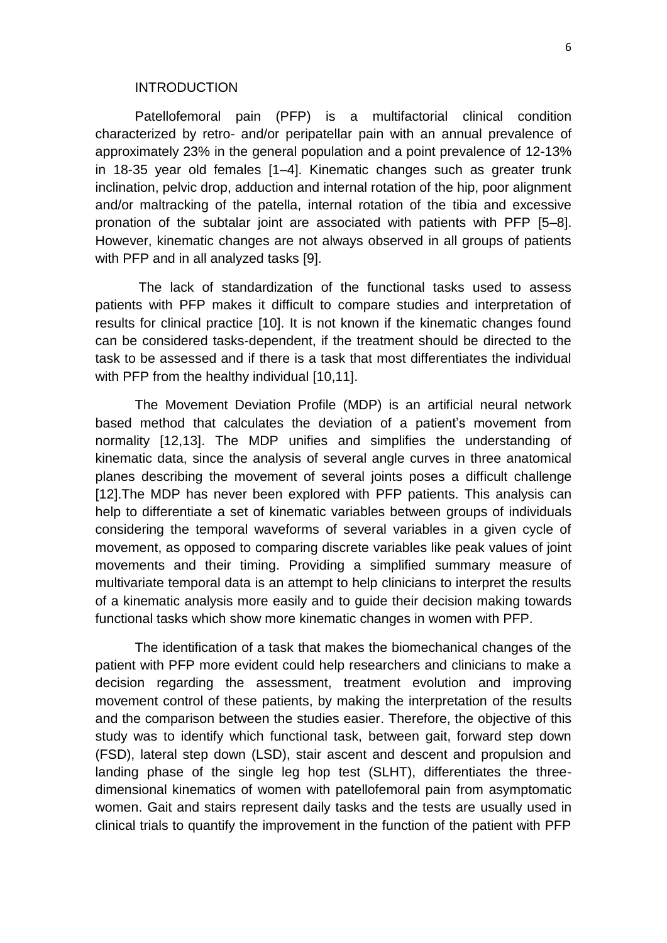#### **INTRODUCTION**

Patellofemoral pain (PFP) is a multifactorial clinical condition characterized by retro- and/or peripatellar pain with an annual prevalence of approximately 23% in the general population and a point prevalence of 12-13% in 18-35 year old females [1–4]. Kinematic changes such as greater trunk inclination, pelvic drop, adduction and internal rotation of the hip, poor alignment and/or maltracking of the patella, internal rotation of the tibia and excessive pronation of the subtalar joint are associated with patients with PFP [5–8]. However, kinematic changes are not always observed in all groups of patients with PFP and in all analyzed tasks [9].

The lack of standardization of the functional tasks used to assess patients with PFP makes it difficult to compare studies and interpretation of results for clinical practice [10]. It is not known if the kinematic changes found can be considered tasks-dependent, if the treatment should be directed to the task to be assessed and if there is a task that most differentiates the individual with PFP from the healthy individual [10,11].

The Movement Deviation Profile (MDP) is an artificial neural network based method that calculates the deviation of a patient's movement from normality [12,13]. The MDP unifies and simplifies the understanding of kinematic data, since the analysis of several angle curves in three anatomical planes describing the movement of several joints poses a difficult challenge [12].The MDP has never been explored with PFP patients. This analysis can help to differentiate a set of kinematic variables between groups of individuals considering the temporal waveforms of several variables in a given cycle of movement, as opposed to comparing discrete variables like peak values of joint movements and their timing. Providing a simplified summary measure of multivariate temporal data is an attempt to help clinicians to interpret the results of a kinematic analysis more easily and to guide their decision making towards functional tasks which show more kinematic changes in women with PFP.

The identification of a task that makes the biomechanical changes of the patient with PFP more evident could help researchers and clinicians to make a decision regarding the assessment, treatment evolution and improving movement control of these patients, by making the interpretation of the results and the comparison between the studies easier. Therefore, the objective of this study was to identify which functional task, between gait, forward step down (FSD), lateral step down (LSD), stair ascent and descent and propulsion and landing phase of the single leg hop test (SLHT), differentiates the threedimensional kinematics of women with patellofemoral pain from asymptomatic women. Gait and stairs represent daily tasks and the tests are usually used in clinical trials to quantify the improvement in the function of the patient with PFP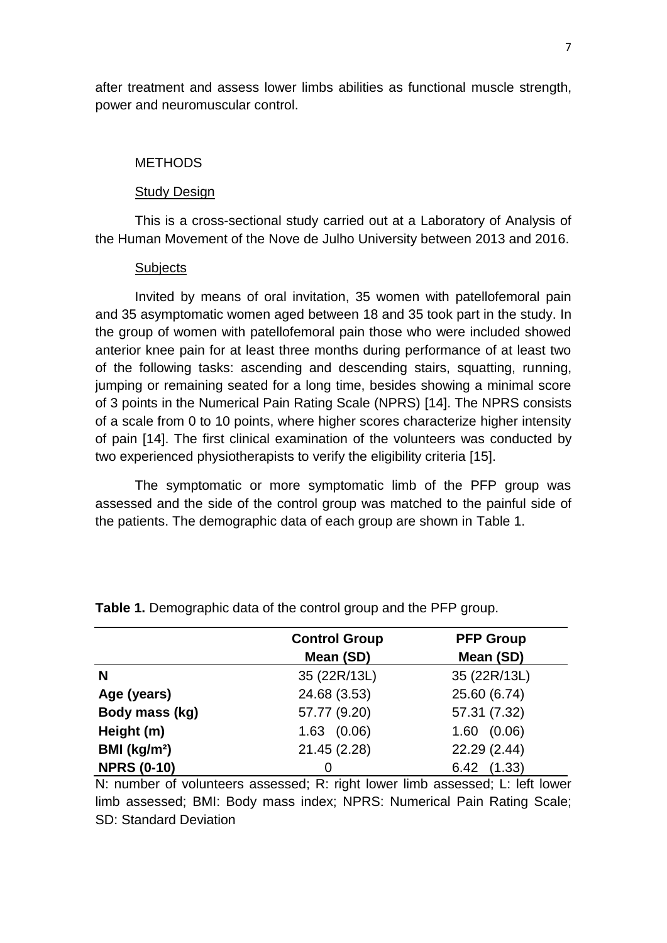after treatment and assess lower limbs abilities as functional muscle strength, power and neuromuscular control.

# **METHODS**

#### Study Design

This is a cross-sectional study carried out at a Laboratory of Analysis of the Human Movement of the Nove de Julho University between 2013 and 2016.

#### **Subjects**

Invited by means of oral invitation, 35 women with patellofemoral pain and 35 asymptomatic women aged between 18 and 35 took part in the study. In the group of women with patellofemoral pain those who were included showed anterior knee pain for at least three months during performance of at least two of the following tasks: ascending and descending stairs, squatting, running, jumping or remaining seated for a long time, besides showing a minimal score of 3 points in the Numerical Pain Rating Scale (NPRS) [14]. The NPRS consists of a scale from 0 to 10 points, where higher scores characterize higher intensity of pain [14]. The first clinical examination of the volunteers was conducted by two experienced physiotherapists to verify the eligibility criteria [15].

The symptomatic or more symptomatic limb of the PFP group was assessed and the side of the control group was matched to the painful side of the patients. The demographic data of each group are shown in Table 1.

|                          | <b>Control Group</b> | <b>PFP Group</b> |
|--------------------------|----------------------|------------------|
|                          | Mean (SD)            | Mean (SD)        |
| N                        | 35 (22R/13L)         | 35 (22R/13L)     |
| Age (years)              | 24.68 (3.53)         | 25.60 (6.74)     |
| Body mass (kg)           | 57.77 (9.20)         | 57.31 (7.32)     |
| Height (m)               | $1.63$ $(0.06)$      | (0.06)<br>1.60   |
| BMI (kg/m <sup>2</sup> ) | 21.45 (2.28)         | 22.29 (2.44)     |
| <b>NPRS (0-10)</b>       | 0                    | 6.42 (1.33)      |

**Table 1.** Demographic data of the control group and the PFP group.

N: number of volunteers assessed; R: right lower limb assessed; L: left lower limb assessed; BMI: Body mass index; NPRS: Numerical Pain Rating Scale; SD: Standard Deviation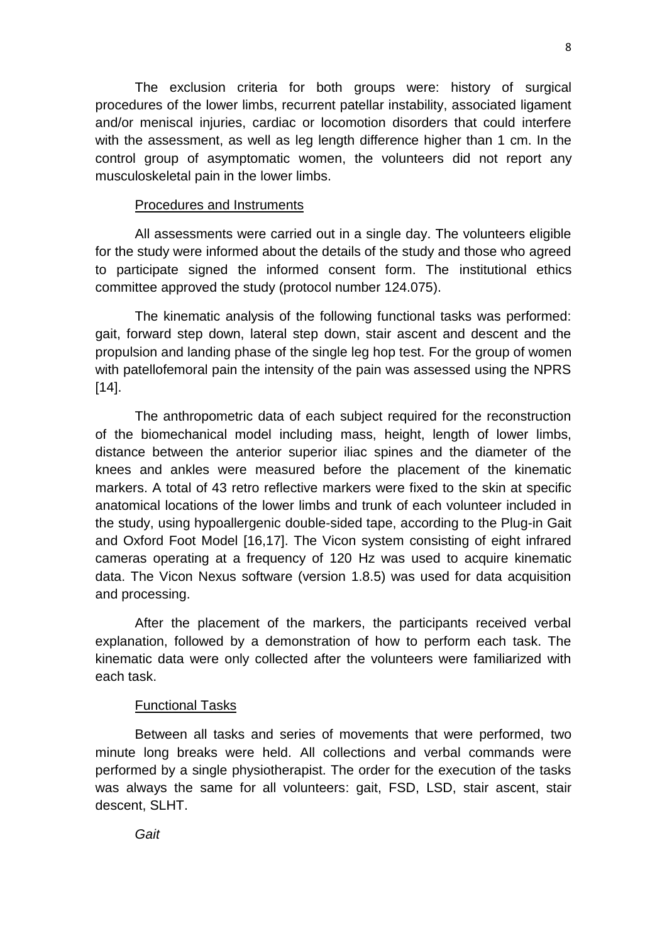The exclusion criteria for both groups were: history of surgical procedures of the lower limbs, recurrent patellar instability, associated ligament and/or meniscal injuries, cardiac or locomotion disorders that could interfere with the assessment, as well as leg length difference higher than 1 cm. In the control group of asymptomatic women, the volunteers did not report any musculoskeletal pain in the lower limbs.

# Procedures and Instruments

All assessments were carried out in a single day. The volunteers eligible for the study were informed about the details of the study and those who agreed to participate signed the informed consent form. The institutional ethics committee approved the study (protocol number 124.075).

The kinematic analysis of the following functional tasks was performed: gait, forward step down, lateral step down, stair ascent and descent and the propulsion and landing phase of the single leg hop test. For the group of women with patellofemoral pain the intensity of the pain was assessed using the NPRS [14].

The anthropometric data of each subject required for the reconstruction of the biomechanical model including mass, height, length of lower limbs, distance between the anterior superior iliac spines and the diameter of the knees and ankles were measured before the placement of the kinematic markers. A total of 43 retro reflective markers were fixed to the skin at specific anatomical locations of the lower limbs and trunk of each volunteer included in the study, using hypoallergenic double-sided tape, according to the Plug-in Gait and Oxford Foot Model [16,17]. The Vicon system consisting of eight infrared cameras operating at a frequency of 120 Hz was used to acquire kinematic data. The Vicon Nexus software (version 1.8.5) was used for data acquisition and processing.

After the placement of the markers, the participants received verbal explanation, followed by a demonstration of how to perform each task. The kinematic data were only collected after the volunteers were familiarized with each task.

# Functional Tasks

Between all tasks and series of movements that were performed, two minute long breaks were held. All collections and verbal commands were performed by a single physiotherapist. The order for the execution of the tasks was always the same for all volunteers: gait, FSD, LSD, stair ascent, stair descent, SLHT.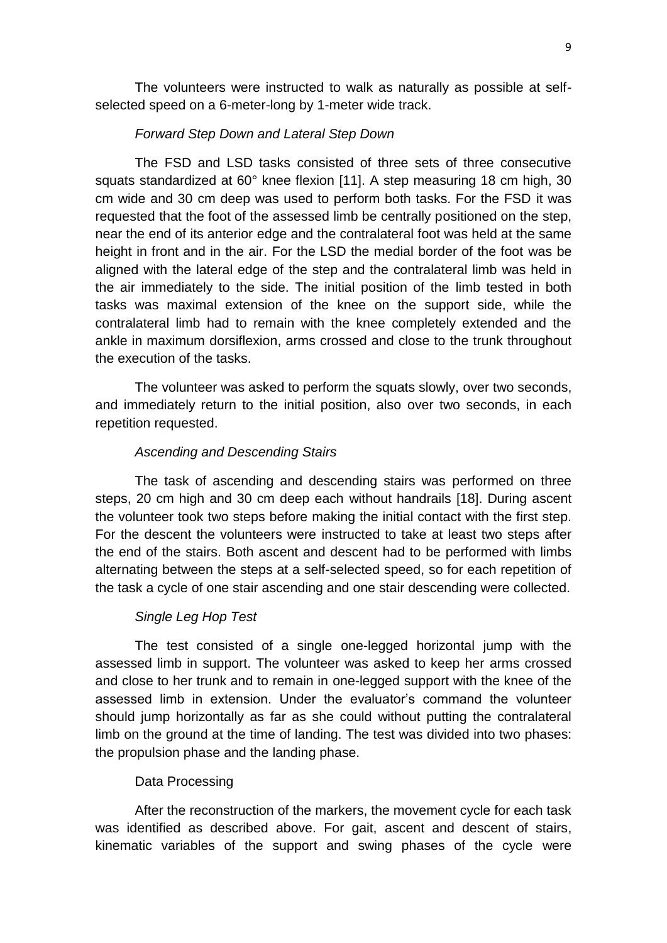The volunteers were instructed to walk as naturally as possible at selfselected speed on a 6-meter-long by 1-meter wide track.

# *Forward Step Down and Lateral Step Down*

The FSD and LSD tasks consisted of three sets of three consecutive squats standardized at 60° knee flexion [11]. A step measuring 18 cm high, 30 cm wide and 30 cm deep was used to perform both tasks. For the FSD it was requested that the foot of the assessed limb be centrally positioned on the step, near the end of its anterior edge and the contralateral foot was held at the same height in front and in the air. For the LSD the medial border of the foot was be aligned with the lateral edge of the step and the contralateral limb was held in the air immediately to the side. The initial position of the limb tested in both tasks was maximal extension of the knee on the support side, while the contralateral limb had to remain with the knee completely extended and the ankle in maximum dorsiflexion, arms crossed and close to the trunk throughout the execution of the tasks.

The volunteer was asked to perform the squats slowly, over two seconds, and immediately return to the initial position, also over two seconds, in each repetition requested.

# *Ascending and Descending Stairs*

The task of ascending and descending stairs was performed on three steps, 20 cm high and 30 cm deep each without handrails [18]. During ascent the volunteer took two steps before making the initial contact with the first step. For the descent the volunteers were instructed to take at least two steps after the end of the stairs. Both ascent and descent had to be performed with limbs alternating between the steps at a self-selected speed, so for each repetition of the task a cycle of one stair ascending and one stair descending were collected.

# *Single Leg Hop Test*

The test consisted of a single one-legged horizontal jump with the assessed limb in support. The volunteer was asked to keep her arms crossed and close to her trunk and to remain in one-legged support with the knee of the assessed limb in extension. Under the evaluator's command the volunteer should jump horizontally as far as she could without putting the contralateral limb on the ground at the time of landing. The test was divided into two phases: the propulsion phase and the landing phase.

# Data Processing

After the reconstruction of the markers, the movement cycle for each task was identified as described above. For gait, ascent and descent of stairs, kinematic variables of the support and swing phases of the cycle were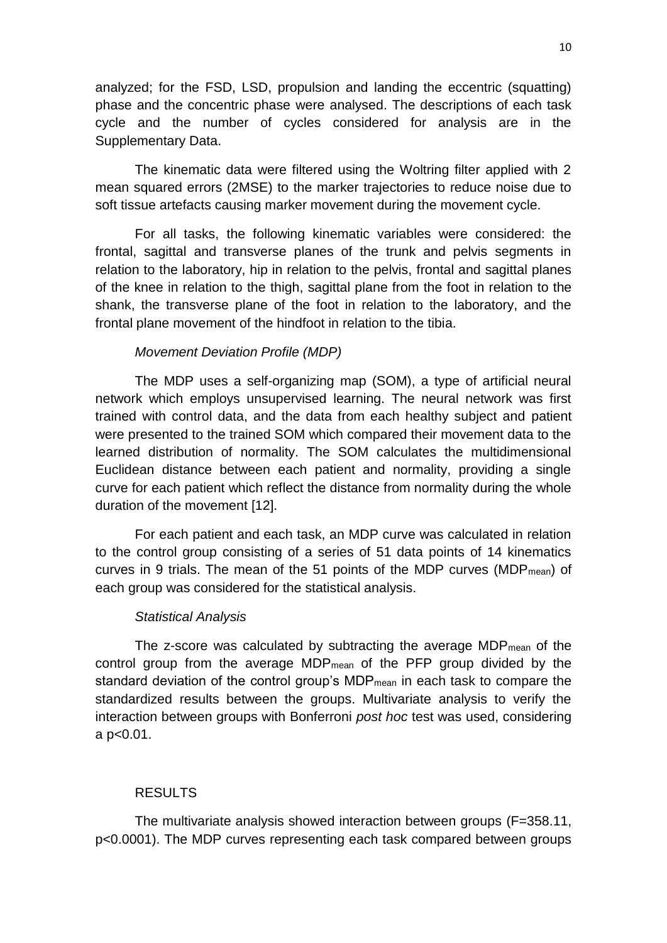analyzed; for the FSD, LSD, propulsion and landing the eccentric (squatting) phase and the concentric phase were analysed. The descriptions of each task cycle and the number of cycles considered for analysis are in the Supplementary Data.

The kinematic data were filtered using the Woltring filter applied with 2 mean squared errors (2MSE) to the marker trajectories to reduce noise due to soft tissue artefacts causing marker movement during the movement cycle.

For all tasks, the following kinematic variables were considered: the frontal, sagittal and transverse planes of the trunk and pelvis segments in relation to the laboratory, hip in relation to the pelvis, frontal and sagittal planes of the knee in relation to the thigh, sagittal plane from the foot in relation to the shank, the transverse plane of the foot in relation to the laboratory, and the frontal plane movement of the hindfoot in relation to the tibia.

# *Movement Deviation Profile (MDP)*

The MDP uses a self-organizing map (SOM), a type of artificial neural network which employs unsupervised learning. The neural network was first trained with control data, and the data from each healthy subject and patient were presented to the trained SOM which compared their movement data to the learned distribution of normality. The SOM calculates the multidimensional Euclidean distance between each patient and normality, providing a single curve for each patient which reflect the distance from normality during the whole duration of the movement [12].

For each patient and each task, an MDP curve was calculated in relation to the control group consisting of a series of 51 data points of 14 kinematics curves in 9 trials. The mean of the 51 points of the MDP curves (MDP $_{mean}$ ) of each group was considered for the statistical analysis.

# *Statistical Analysis*

The z-score was calculated by subtracting the average MDPmean of the control group from the average MDPmean of the PFP group divided by the standard deviation of the control group's MDPmean in each task to compare the standardized results between the groups. Multivariate analysis to verify the interaction between groups with Bonferroni *post hoc* test was used, considering a p<0.01.

# RESULTS

The multivariate analysis showed interaction between groups (F=358.11, p<0.0001). The MDP curves representing each task compared between groups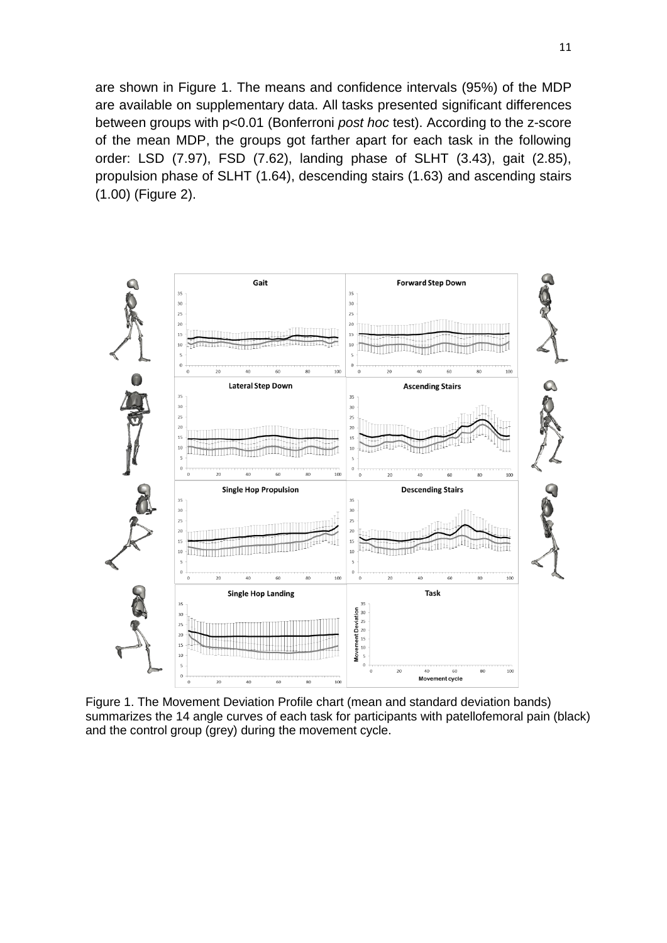are shown in Figure 1. The means and confidence intervals (95%) of the MDP are available on supplementary data. All tasks presented significant differences between groups with p<0.01 (Bonferroni *post hoc* test). According to the z-score of the mean MDP, the groups got farther apart for each task in the following order: LSD (7.97), FSD (7.62), landing phase of SLHT (3.43), gait (2.85), propulsion phase of SLHT (1.64), descending stairs (1.63) and ascending stairs (1.00) (Figure 2).



Figure 1. The Movement Deviation Profile chart (mean and standard deviation bands) summarizes the 14 angle curves of each task for participants with patellofemoral pain (black) and the control group (grey) during the movement cycle.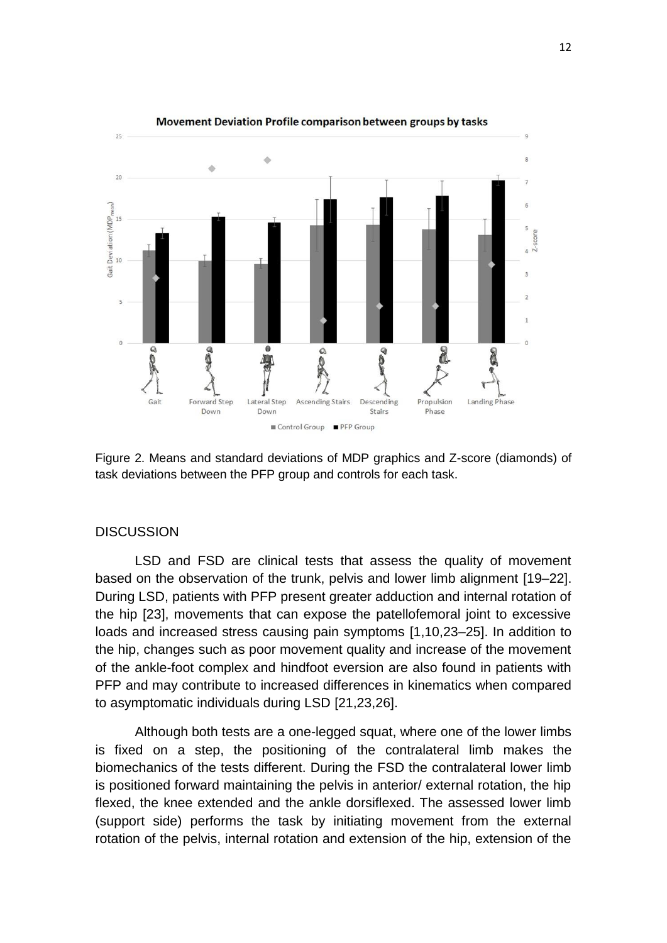

Figure 2. Means and standard deviations of MDP graphics and Z-score (diamonds) of task deviations between the PFP group and controls for each task.

#### **DISCUSSION**

LSD and FSD are clinical tests that assess the quality of movement based on the observation of the trunk, pelvis and lower limb alignment [19–22]. During LSD, patients with PFP present greater adduction and internal rotation of the hip [23], movements that can expose the patellofemoral joint to excessive loads and increased stress causing pain symptoms [1,10,23–25]. In addition to the hip, changes such as poor movement quality and increase of the movement of the ankle-foot complex and hindfoot eversion are also found in patients with PFP and may contribute to increased differences in kinematics when compared to asymptomatic individuals during LSD [21,23,26].

Although both tests are a one-legged squat, where one of the lower limbs is fixed on a step, the positioning of the contralateral limb makes the biomechanics of the tests different. During the FSD the contralateral lower limb is positioned forward maintaining the pelvis in anterior/ external rotation, the hip flexed, the knee extended and the ankle dorsiflexed. The assessed lower limb (support side) performs the task by initiating movement from the external rotation of the pelvis, internal rotation and extension of the hip, extension of the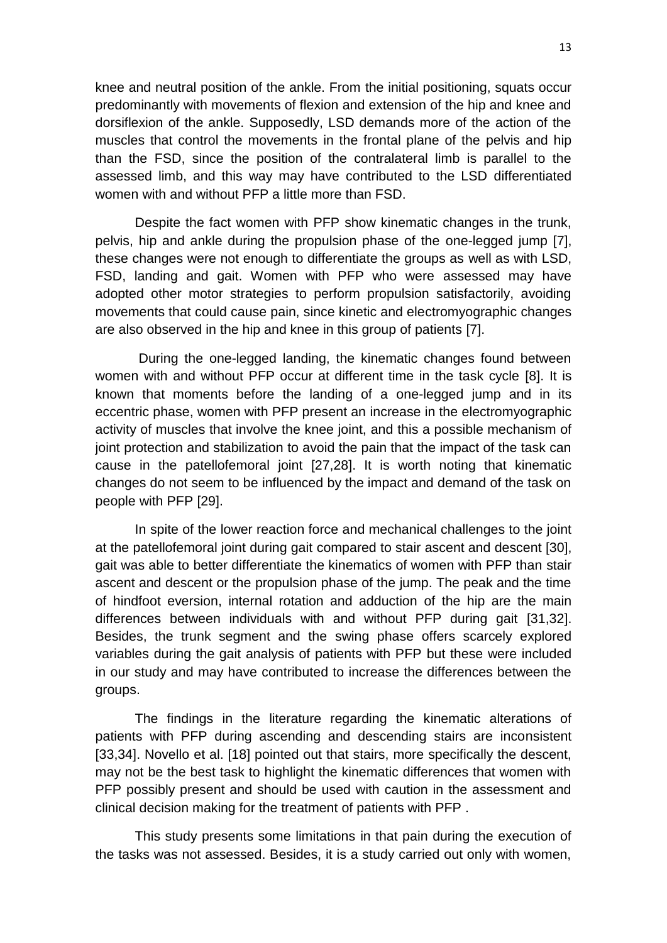knee and neutral position of the ankle. From the initial positioning, squats occur predominantly with movements of flexion and extension of the hip and knee and dorsiflexion of the ankle. Supposedly, LSD demands more of the action of the muscles that control the movements in the frontal plane of the pelvis and hip than the FSD, since the position of the contralateral limb is parallel to the assessed limb, and this way may have contributed to the LSD differentiated women with and without PFP a little more than FSD.

Despite the fact women with PFP show kinematic changes in the trunk, pelvis, hip and ankle during the propulsion phase of the one-legged jump [7], these changes were not enough to differentiate the groups as well as with LSD, FSD, landing and gait. Women with PFP who were assessed may have adopted other motor strategies to perform propulsion satisfactorily, avoiding movements that could cause pain, since kinetic and electromyographic changes are also observed in the hip and knee in this group of patients [7].

During the one-legged landing, the kinematic changes found between women with and without PFP occur at different time in the task cycle [8]. It is known that moments before the landing of a one-legged jump and in its eccentric phase, women with PFP present an increase in the electromyographic activity of muscles that involve the knee joint, and this a possible mechanism of joint protection and stabilization to avoid the pain that the impact of the task can cause in the patellofemoral joint [27,28]. It is worth noting that kinematic changes do not seem to be influenced by the impact and demand of the task on people with PFP [29].

In spite of the lower reaction force and mechanical challenges to the joint at the patellofemoral joint during gait compared to stair ascent and descent [30], gait was able to better differentiate the kinematics of women with PFP than stair ascent and descent or the propulsion phase of the jump. The peak and the time of hindfoot eversion, internal rotation and adduction of the hip are the main differences between individuals with and without PFP during gait [31,32]. Besides, the trunk segment and the swing phase offers scarcely explored variables during the gait analysis of patients with PFP but these were included in our study and may have contributed to increase the differences between the groups.

The findings in the literature regarding the kinematic alterations of patients with PFP during ascending and descending stairs are inconsistent [33,34]. Novello et al. [18] pointed out that stairs, more specifically the descent, may not be the best task to highlight the kinematic differences that women with PFP possibly present and should be used with caution in the assessment and clinical decision making for the treatment of patients with PFP .

This study presents some limitations in that pain during the execution of the tasks was not assessed. Besides, it is a study carried out only with women,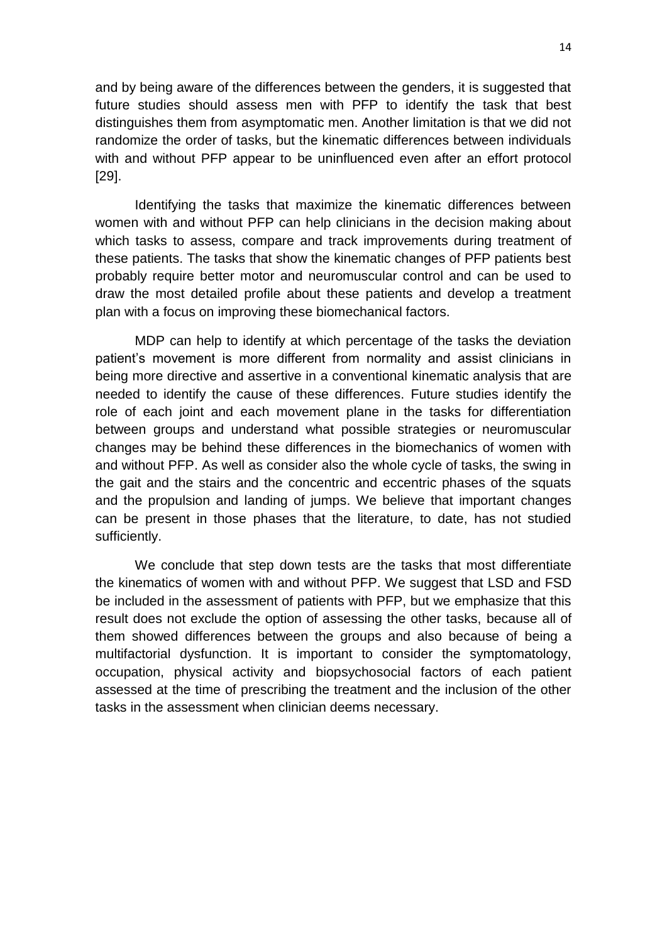and by being aware of the differences between the genders, it is suggested that future studies should assess men with PFP to identify the task that best distinguishes them from asymptomatic men. Another limitation is that we did not randomize the order of tasks, but the kinematic differences between individuals with and without PFP appear to be uninfluenced even after an effort protocol [29].

Identifying the tasks that maximize the kinematic differences between women with and without PFP can help clinicians in the decision making about which tasks to assess, compare and track improvements during treatment of these patients. The tasks that show the kinematic changes of PFP patients best probably require better motor and neuromuscular control and can be used to draw the most detailed profile about these patients and develop a treatment plan with a focus on improving these biomechanical factors.

MDP can help to identify at which percentage of the tasks the deviation patient's movement is more different from normality and assist clinicians in being more directive and assertive in a conventional kinematic analysis that are needed to identify the cause of these differences. Future studies identify the role of each joint and each movement plane in the tasks for differentiation between groups and understand what possible strategies or neuromuscular changes may be behind these differences in the biomechanics of women with and without PFP. As well as consider also the whole cycle of tasks, the swing in the gait and the stairs and the concentric and eccentric phases of the squats and the propulsion and landing of jumps. We believe that important changes can be present in those phases that the literature, to date, has not studied sufficiently.

We conclude that step down tests are the tasks that most differentiate the kinematics of women with and without PFP. We suggest that LSD and FSD be included in the assessment of patients with PFP, but we emphasize that this result does not exclude the option of assessing the other tasks, because all of them showed differences between the groups and also because of being a multifactorial dysfunction. It is important to consider the symptomatology, occupation, physical activity and biopsychosocial factors of each patient assessed at the time of prescribing the treatment and the inclusion of the other tasks in the assessment when clinician deems necessary.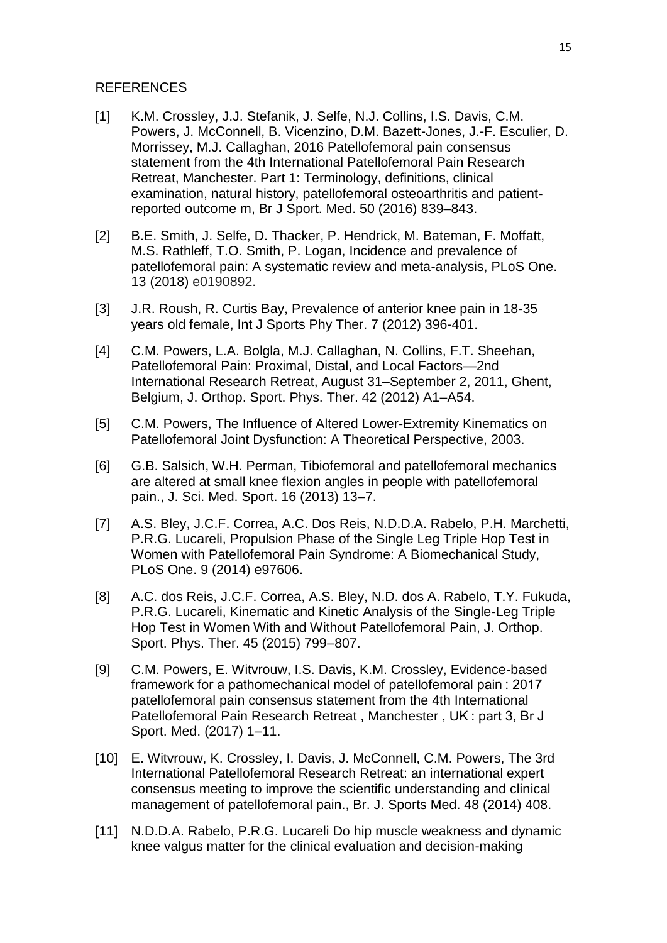### REFERENCES

- [1] K.M. Crossley, J.J. Stefanik, J. Selfe, N.J. Collins, I.S. Davis, C.M. Powers, J. McConnell, B. Vicenzino, D.M. Bazett-Jones, J.-F. Esculier, D. Morrissey, M.J. Callaghan, 2016 Patellofemoral pain consensus statement from the 4th International Patellofemoral Pain Research Retreat, Manchester. Part 1: Terminology, definitions, clinical examination, natural history, patellofemoral osteoarthritis and patientreported outcome m, Br J Sport. Med. 50 (2016) 839–843.
- [2] B.E. Smith, J. Selfe, D. Thacker, P. Hendrick, M. Bateman, F. Moffatt, M.S. Rathleff, T.O. Smith, P. Logan, Incidence and prevalence of patellofemoral pain: A systematic review and meta-analysis, PLoS One. 13 (2018) e0190892.
- [3] J.R. Roush, R. Curtis Bay, Prevalence of anterior knee pain in 18-35 years old female, Int J Sports Phy Ther. 7 (2012) 396-401.
- [4] C.M. Powers, L.A. Bolgla, M.J. Callaghan, N. Collins, F.T. Sheehan, Patellofemoral Pain: Proximal, Distal, and Local Factors—2nd International Research Retreat, August 31–September 2, 2011, Ghent, Belgium, J. Orthop. Sport. Phys. Ther. 42 (2012) A1–A54.
- [5] C.M. Powers, The Influence of Altered Lower-Extremity Kinematics on Patellofemoral Joint Dysfunction: A Theoretical Perspective, 2003.
- [6] G.B. Salsich, W.H. Perman, Tibiofemoral and patellofemoral mechanics are altered at small knee flexion angles in people with patellofemoral pain., J. Sci. Med. Sport. 16 (2013) 13–7.
- [7] A.S. Bley, J.C.F. Correa, A.C. Dos Reis, N.D.D.A. Rabelo, P.H. Marchetti, P.R.G. Lucareli, Propulsion Phase of the Single Leg Triple Hop Test in Women with Patellofemoral Pain Syndrome: A Biomechanical Study, PLoS One. 9 (2014) e97606.
- [8] A.C. dos Reis, J.C.F. Correa, A.S. Bley, N.D. dos A. Rabelo, T.Y. Fukuda, P.R.G. Lucareli, Kinematic and Kinetic Analysis of the Single-Leg Triple Hop Test in Women With and Without Patellofemoral Pain, J. Orthop. Sport. Phys. Ther. 45 (2015) 799–807.
- [9] C.M. Powers, E. Witvrouw, I.S. Davis, K.M. Crossley, Evidence-based framework for a pathomechanical model of patellofemoral pain : 2017 patellofemoral pain consensus statement from the 4th International Patellofemoral Pain Research Retreat , Manchester , UK : part 3, Br J Sport. Med. (2017) 1–11.
- [10] E. Witvrouw, K. Crossley, I. Davis, J. McConnell, C.M. Powers, The 3rd International Patellofemoral Research Retreat: an international expert consensus meeting to improve the scientific understanding and clinical management of patellofemoral pain., Br. J. Sports Med. 48 (2014) 408.
- [11] N.D.D.A. Rabelo, P.R.G. Lucareli Do hip muscle weakness and dynamic knee valgus matter for the clinical evaluation and decision-making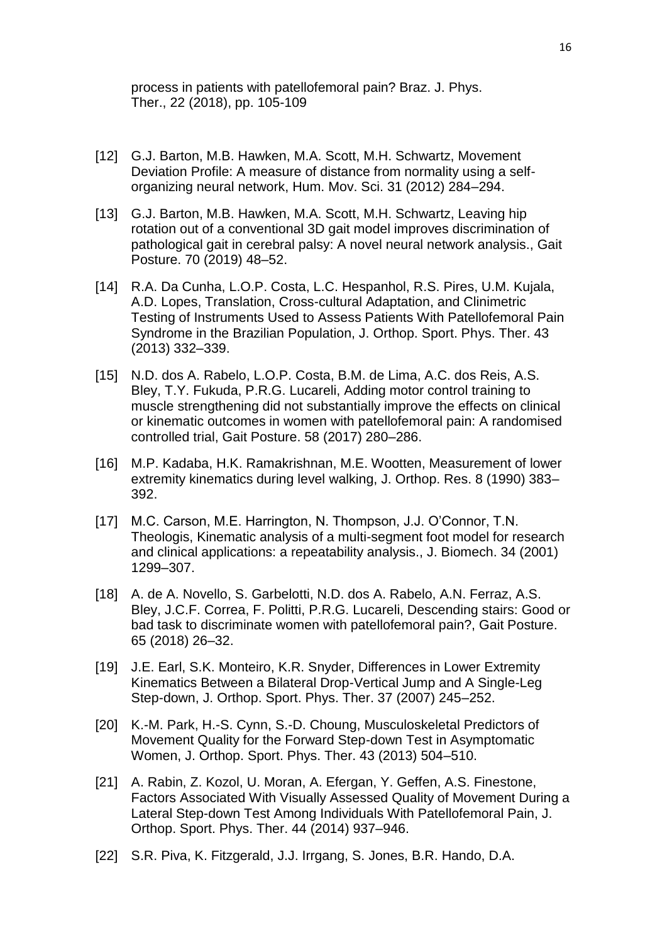process in patients with patellofemoral pain? Braz. J. Phys. Ther., 22 (2018), pp. 105-109

- [12] G.J. Barton, M.B. Hawken, M.A. Scott, M.H. Schwartz, Movement Deviation Profile: A measure of distance from normality using a selforganizing neural network, Hum. Mov. Sci. 31 (2012) 284–294.
- [13] G.J. Barton, M.B. Hawken, M.A. Scott, M.H. Schwartz, Leaving hip rotation out of a conventional 3D gait model improves discrimination of pathological gait in cerebral palsy: A novel neural network analysis., Gait Posture. 70 (2019) 48–52.
- [14] R.A. Da Cunha, L.O.P. Costa, L.C. Hespanhol, R.S. Pires, U.M. Kujala, A.D. Lopes, Translation, Cross-cultural Adaptation, and Clinimetric Testing of Instruments Used to Assess Patients With Patellofemoral Pain Syndrome in the Brazilian Population, J. Orthop. Sport. Phys. Ther. 43 (2013) 332–339.
- [15] N.D. dos A. Rabelo, L.O.P. Costa, B.M. de Lima, A.C. dos Reis, A.S. Bley, T.Y. Fukuda, P.R.G. Lucareli, Adding motor control training to muscle strengthening did not substantially improve the effects on clinical or kinematic outcomes in women with patellofemoral pain: A randomised controlled trial, Gait Posture. 58 (2017) 280–286.
- [16] M.P. Kadaba, H.K. Ramakrishnan, M.E. Wootten, Measurement of lower extremity kinematics during level walking, J. Orthop. Res. 8 (1990) 383– 392.
- [17] M.C. Carson, M.E. Harrington, N. Thompson, J.J. O'Connor, T.N. Theologis, Kinematic analysis of a multi-segment foot model for research and clinical applications: a repeatability analysis., J. Biomech. 34 (2001) 1299–307.
- [18] A. de A. Novello, S. Garbelotti, N.D. dos A. Rabelo, A.N. Ferraz, A.S. Bley, J.C.F. Correa, F. Politti, P.R.G. Lucareli, Descending stairs: Good or bad task to discriminate women with patellofemoral pain?, Gait Posture. 65 (2018) 26–32.
- [19] J.E. Earl, S.K. Monteiro, K.R. Snyder, Differences in Lower Extremity Kinematics Between a Bilateral Drop-Vertical Jump and A Single-Leg Step-down, J. Orthop. Sport. Phys. Ther. 37 (2007) 245–252.
- [20] K.-M. Park, H.-S. Cynn, S.-D. Choung, Musculoskeletal Predictors of Movement Quality for the Forward Step-down Test in Asymptomatic Women, J. Orthop. Sport. Phys. Ther. 43 (2013) 504–510.
- [21] A. Rabin, Z. Kozol, U. Moran, A. Efergan, Y. Geffen, A.S. Finestone, Factors Associated With Visually Assessed Quality of Movement During a Lateral Step-down Test Among Individuals With Patellofemoral Pain, J. Orthop. Sport. Phys. Ther. 44 (2014) 937–946.
- [22] S.R. Piva, K. Fitzgerald, J.J. Irrgang, S. Jones, B.R. Hando, D.A.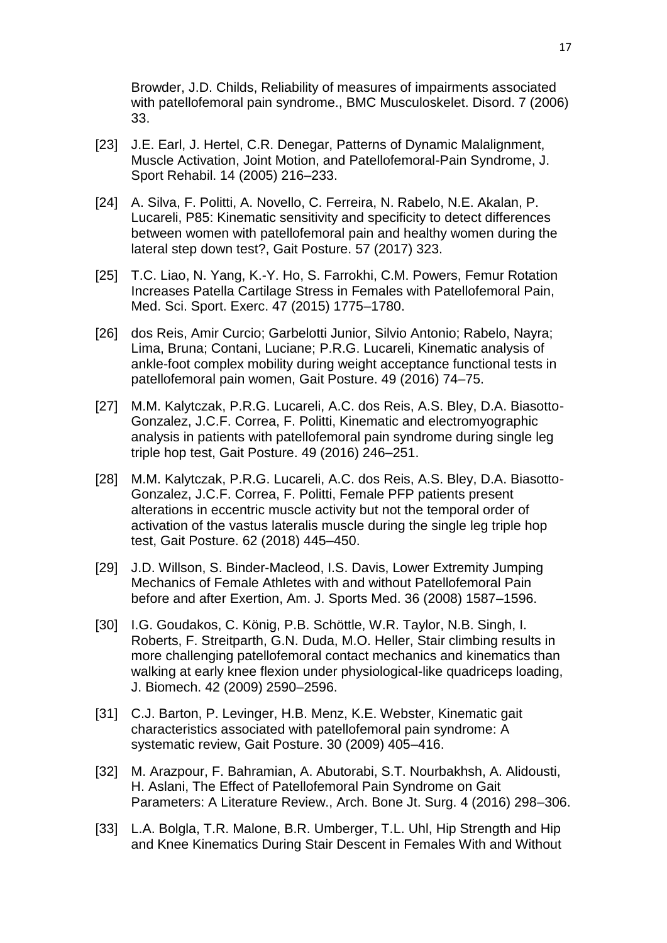Browder, J.D. Childs, Reliability of measures of impairments associated with patellofemoral pain syndrome., BMC Musculoskelet. Disord. 7 (2006) 33.

- [23] J.E. Earl, J. Hertel, C.R. Denegar, Patterns of Dynamic Malalignment, Muscle Activation, Joint Motion, and Patellofemoral-Pain Syndrome, J. Sport Rehabil. 14 (2005) 216–233.
- [24] A. Silva, F. Politti, A. Novello, C. Ferreira, N. Rabelo, N.E. Akalan, P. Lucareli, P85: Kinematic sensitivity and specificity to detect differences between women with patellofemoral pain and healthy women during the lateral step down test?, Gait Posture. 57 (2017) 323.
- [25] T.C. Liao, N. Yang, K.-Y. Ho, S. Farrokhi, C.M. Powers, Femur Rotation Increases Patella Cartilage Stress in Females with Patellofemoral Pain, Med. Sci. Sport. Exerc. 47 (2015) 1775–1780.
- [26] dos Reis, Amir Curcio; Garbelotti Junior, Silvio Antonio; Rabelo, Nayra; Lima, Bruna; Contani, Luciane; P.R.G. Lucareli, Kinematic analysis of ankle-foot complex mobility during weight acceptance functional tests in patellofemoral pain women, Gait Posture. 49 (2016) 74–75.
- [27] M.M. Kalytczak, P.R.G. Lucareli, A.C. dos Reis, A.S. Bley, D.A. Biasotto-Gonzalez, J.C.F. Correa, F. Politti, Kinematic and electromyographic analysis in patients with patellofemoral pain syndrome during single leg triple hop test, Gait Posture. 49 (2016) 246–251.
- [28] M.M. Kalytczak, P.R.G. Lucareli, A.C. dos Reis, A.S. Bley, D.A. Biasotto-Gonzalez, J.C.F. Correa, F. Politti, Female PFP patients present alterations in eccentric muscle activity but not the temporal order of activation of the vastus lateralis muscle during the single leg triple hop test, Gait Posture. 62 (2018) 445–450.
- [29] J.D. Willson, S. Binder-Macleod, I.S. Davis, Lower Extremity Jumping Mechanics of Female Athletes with and without Patellofemoral Pain before and after Exertion, Am. J. Sports Med. 36 (2008) 1587–1596.
- [30] I.G. Goudakos, C. König, P.B. Schöttle, W.R. Taylor, N.B. Singh, I. Roberts, F. Streitparth, G.N. Duda, M.O. Heller, Stair climbing results in more challenging patellofemoral contact mechanics and kinematics than walking at early knee flexion under physiological-like quadriceps loading, J. Biomech. 42 (2009) 2590–2596.
- [31] C.J. Barton, P. Levinger, H.B. Menz, K.E. Webster, Kinematic gait characteristics associated with patellofemoral pain syndrome: A systematic review, Gait Posture. 30 (2009) 405–416.
- [32] M. Arazpour, F. Bahramian, A. Abutorabi, S.T. Nourbakhsh, A. Alidousti, H. Aslani, The Effect of Patellofemoral Pain Syndrome on Gait Parameters: A Literature Review., Arch. Bone Jt. Surg. 4 (2016) 298–306.
- [33] L.A. Bolgla, T.R. Malone, B.R. Umberger, T.L. Uhl. Hip Strength and Hip and Knee Kinematics During Stair Descent in Females With and Without